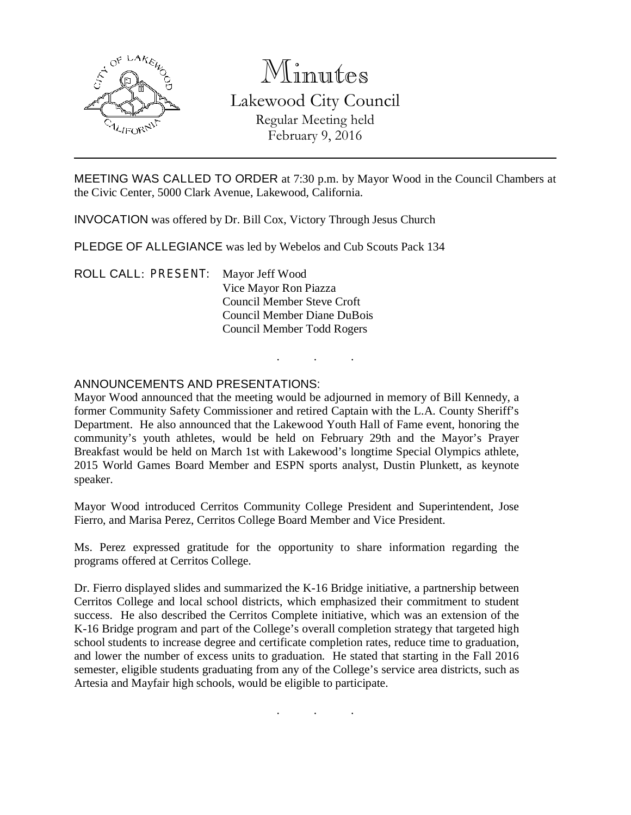

# Minutes

Lakewood City Council Regular Meeting held February 9, 2016

MEETING WAS CALLED TO ORDER at 7:30 p.m. by Mayor Wood in the Council Chambers at the Civic Center, 5000 Clark Avenue, Lakewood, California.

INVOCATION was offered by Dr. Bill Cox, Victory Through Jesus Church

PLEDGE OF ALLEGIANCE was led by Webelos and Cub Scouts Pack 134

ROLL CALL: PRESENT: Mayor Jeff Wood Vice Mayor Ron Piazza Council Member Steve Croft Council Member Diane DuBois Council Member Todd Rogers

# ANNOUNCEMENTS AND PRESENTATIONS:

Mayor Wood announced that the meeting would be adjourned in memory of Bill Kennedy, a former Community Safety Commissioner and retired Captain with the L.A. County Sheriff's Department. He also announced that the Lakewood Youth Hall of Fame event, honoring the community's youth athletes, would be held on February 29th and the Mayor's Prayer Breakfast would be held on March 1st with Lakewood's longtime Special Olympics athlete, 2015 World Games Board Member and ESPN sports analyst, Dustin Plunkett, as keynote speaker.

. . .

Mayor Wood introduced Cerritos Community College President and Superintendent, Jose Fierro, and Marisa Perez, Cerritos College Board Member and Vice President.

Ms. Perez expressed gratitude for the opportunity to share information regarding the programs offered at Cerritos College.

Dr. Fierro displayed slides and summarized the K-16 Bridge initiative, a partnership between Cerritos College and local school districts, which emphasized their commitment to student success. He also described the Cerritos Complete initiative, which was an extension of the K-16 Bridge program and part of the College's overall completion strategy that targeted high school students to increase degree and certificate completion rates, reduce time to graduation, and lower the number of excess units to graduation. He stated that starting in the Fall 2016 semester, eligible students graduating from any of the College's service area districts, such as Artesia and Mayfair high schools, would be eligible to participate.

. . .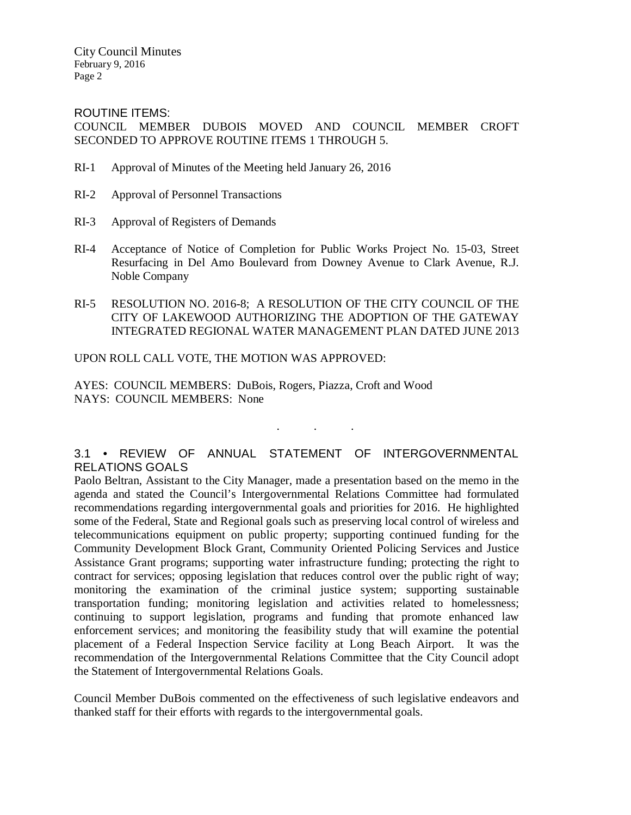City Council Minutes February 9, 2016 Page 2

ROUTINE ITEMS:

COUNCIL MEMBER DUBOIS MOVED AND COUNCIL MEMBER CROFT SECONDED TO APPROVE ROUTINE ITEMS 1 THROUGH 5.

- RI-1 Approval of Minutes of the Meeting held January 26, 2016
- RI-2 Approval of Personnel Transactions
- RI-3 Approval of Registers of Demands
- RI-4 Acceptance of Notice of Completion for Public Works Project No. 15-03, Street Resurfacing in Del Amo Boulevard from Downey Avenue to Clark Avenue, R.J. Noble Company
- RI-5 RESOLUTION NO. 2016-8; A RESOLUTION OF THE CITY COUNCIL OF THE CITY OF LAKEWOOD AUTHORIZING THE ADOPTION OF THE GATEWAY INTEGRATED REGIONAL WATER MANAGEMENT PLAN DATED JUNE 2013

### UPON ROLL CALL VOTE, THE MOTION WAS APPROVED:

AYES: COUNCIL MEMBERS: DuBois, Rogers, Piazza, Croft and Wood NAYS: COUNCIL MEMBERS: None

# 3.1 • REVIEW OF ANNUAL STATEMENT OF INTERGOVERNMENTAL RELATIONS GOALS

. . .

Paolo Beltran, Assistant to the City Manager, made a presentation based on the memo in the agenda and stated the Council's Intergovernmental Relations Committee had formulated recommendations regarding intergovernmental goals and priorities for 2016. He highlighted some of the Federal, State and Regional goals such as preserving local control of wireless and telecommunications equipment on public property; supporting continued funding for the Community Development Block Grant, Community Oriented Policing Services and Justice Assistance Grant programs; supporting water infrastructure funding; protecting the right to contract for services; opposing legislation that reduces control over the public right of way; monitoring the examination of the criminal justice system; supporting sustainable transportation funding; monitoring legislation and activities related to homelessness; continuing to support legislation, programs and funding that promote enhanced law enforcement services; and monitoring the feasibility study that will examine the potential placement of a Federal Inspection Service facility at Long Beach Airport. It was the recommendation of the Intergovernmental Relations Committee that the City Council adopt the Statement of Intergovernmental Relations Goals.

Council Member DuBois commented on the effectiveness of such legislative endeavors and thanked staff for their efforts with regards to the intergovernmental goals.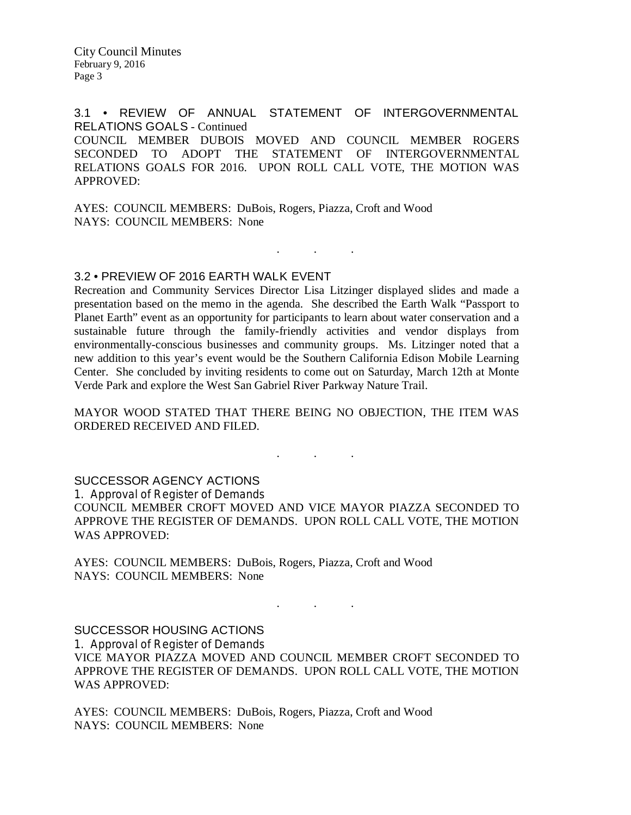City Council Minutes February 9, 2016 Page 3

3.1 • REVIEW OF ANNUAL STATEMENT OF INTERGOVERNMENTAL RELATIONS GOALS - Continued COUNCIL MEMBER DUBOIS MOVED AND COUNCIL MEMBER ROGERS SECONDED TO ADOPT THE STATEMENT OF INTERGOVERNMENTAL RELATIONS GOALS FOR 2016. UPON ROLL CALL VOTE, THE MOTION WAS APPROVED:

AYES: COUNCIL MEMBERS: DuBois, Rogers, Piazza, Croft and Wood NAYS: COUNCIL MEMBERS: None

### 3.2 • PREVIEW OF 2016 EARTH WALK EVENT

Recreation and Community Services Director Lisa Litzinger displayed slides and made a presentation based on the memo in the agenda. She described the Earth Walk "Passport to Planet Earth" event as an opportunity for participants to learn about water conservation and a sustainable future through the family-friendly activities and vendor displays from environmentally-conscious businesses and community groups. Ms. Litzinger noted that a new addition to this year's event would be the Southern California Edison Mobile Learning Center. She concluded by inviting residents to come out on Saturday, March 12th at Monte Verde Park and explore the West San Gabriel River Parkway Nature Trail.

. . .

MAYOR WOOD STATED THAT THERE BEING NO OBJECTION, THE ITEM WAS ORDERED RECEIVED AND FILED.

. . .

#### SUCCESSOR AGENCY ACTIONS

1. Approval of Register of Demands

COUNCIL MEMBER CROFT MOVED AND VICE MAYOR PIAZZA SECONDED TO APPROVE THE REGISTER OF DEMANDS. UPON ROLL CALL VOTE, THE MOTION WAS APPROVED:

AYES: COUNCIL MEMBERS: DuBois, Rogers, Piazza, Croft and Wood NAYS: COUNCIL MEMBERS: None

SUCCESSOR HOUSING ACTIONS

1. Approval of Register of Demands

VICE MAYOR PIAZZA MOVED AND COUNCIL MEMBER CROFT SECONDED TO APPROVE THE REGISTER OF DEMANDS. UPON ROLL CALL VOTE, THE MOTION WAS APPROVED:

. As we have the set of  $\mathcal{A}$ 

AYES: COUNCIL MEMBERS: DuBois, Rogers, Piazza, Croft and Wood NAYS: COUNCIL MEMBERS: None